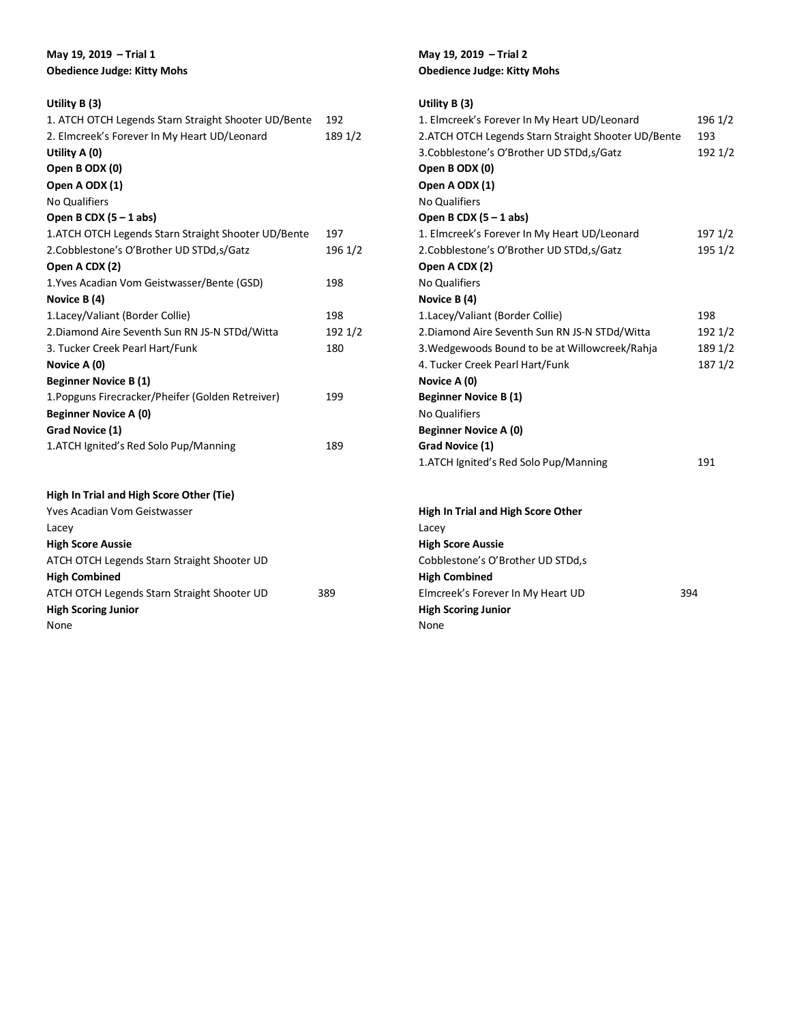# **May 19, 2019 – Trial 1 Obedience Judge: Kitty Mohs**

# **Utility B (3)**

**High Scoring Junior**

None

| 1. ATCH OTCH Legends Starn Straight Shooter UD/Bente | 192     |
|------------------------------------------------------|---------|
| 2. Elmcreek's Forever In My Heart UD/Leonard         | 189 1/2 |
| Utility A (0)                                        |         |
| Open B ODX (0)                                       |         |
| Open A ODX (1)                                       |         |
| No Qualifiers                                        |         |
| Open B CDX $(5 - 1$ abs)                             |         |
| 1.ATCH OTCH Legends Starn Straight Shooter UD/Bente  | 197     |
| 2.Cobblestone's O'Brother UD STDd, s/Gatz            | 196 1/2 |
| Open A CDX (2)                                       |         |
| 1. Yves Acadian Vom Geistwasser/Bente (GSD)          | 198     |
| Novice B (4)                                         |         |
| 1.Lacey/Valiant (Border Collie)                      | 198     |
| 2. Diamond Aire Seventh Sun RN JS-N STDd/Witta       | 192 1/2 |
| 3. Tucker Creek Pearl Hart/Funk                      | 180     |
| Novice A (0)                                         |         |
| <b>Beginner Novice B (1)</b>                         |         |
| 1. Popguns Firecracker/Pheifer (Golden Retreiver)    | 199     |
| <b>Beginner Novice A (0)</b>                         |         |
| Grad Novice (1)                                      |         |
| 1.ATCH Ignited's Red Solo Pup/Manning                | 189     |
|                                                      |         |
|                                                      |         |
| High In Trial and High Score Other (Tie)             |         |
| Yves Acadian Vom Geistwasser                         |         |
| Lacey                                                |         |
| <b>High Score Aussie</b>                             |         |
| ATCH OTCH Legends Starn Straight Shooter UD          |         |
| <b>High Combined</b>                                 |         |
| ATCH OTCH Legends Starn Straight Shooter UD          | 389     |

## **May 19, 2019 – Trial 2 Obedience Judge: Kitty Mohs**

| Utility $B(3)$                                       |         |
|------------------------------------------------------|---------|
| 1. Elmcreek's Forever In My Heart UD/Leonard         | 196 1/2 |
| 2. ATCH OTCH Legends Starn Straight Shooter UD/Bente | 193     |
| 3.Cobblestone's O'Brother UD STDd, s/Gatz            | 192 1/2 |
| Open B ODX (0)                                       |         |
| Open A ODX (1)                                       |         |
| <b>No Qualifiers</b>                                 |         |
| Open B CDX $(5 - 1$ abs)                             |         |
| 1. Elmcreek's Forever In My Heart UD/Leonard         | 197 1/2 |
| 2.Cobblestone's O'Brother UD STDd, s/Gatz            | 195 1/2 |
| Open A CDX (2)                                       |         |
| <b>No Qualifiers</b>                                 |         |
| Novice B (4)                                         |         |
| 1. Lacey/Valiant (Border Collie)                     | 198     |
| 2. Diamond Aire Seventh Sun RN JS-N STDd/Witta       | 192 1/2 |
| 3. Wedgewoods Bound to be at Willowcreek/Rahja       | 189 1/2 |
| 4. Tucker Creek Pearl Hart/Funk                      | 187 1/2 |
| Novice A (0)                                         |         |
| <b>Beginner Novice B (1)</b>                         |         |
| <b>No Qualifiers</b>                                 |         |
| <b>Beginner Novice A (0)</b>                         |         |
| Grad Novice (1)                                      |         |
| 1.ATCH Ignited's Red Solo Pup/Manning                | 191     |
|                                                      |         |
| High In Trial and High Score Other                   |         |
| Lacey                                                |         |

| Lacey                             |     |
|-----------------------------------|-----|
| <b>High Score Aussie</b>          |     |
| Cobblestone's O'Brother UD STDd,s |     |
| <b>High Combined</b>              |     |
| Elmcreek's Forever In My Heart UD | 394 |
| <b>High Scoring Junior</b>        |     |
| None                              |     |
|                                   |     |